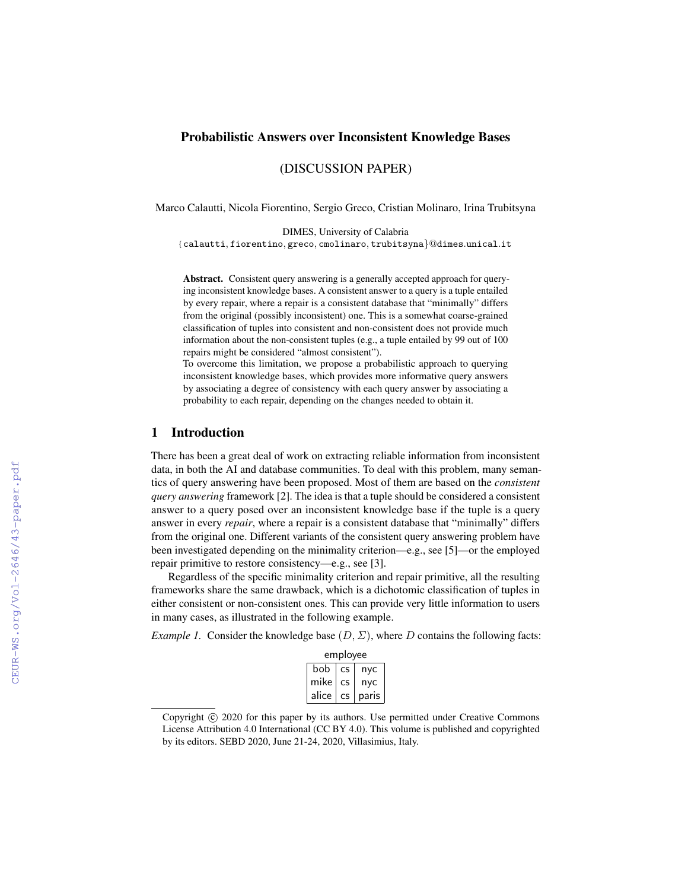# Probabilistic Answers over Inconsistent Knowledge Bases

(DISCUSSION PAPER)

Marco Calautti, Nicola Fiorentino, Sergio Greco, Cristian Molinaro, Irina Trubitsyna

DIMES, University of Calabria {calautti, fiorentino, greco, cmolinaro, trubitsyna}@dimes.unical.it

Abstract. Consistent query answering is a generally accepted approach for querying inconsistent knowledge bases. A consistent answer to a query is a tuple entailed by every repair, where a repair is a consistent database that "minimally" differs from the original (possibly inconsistent) one. This is a somewhat coarse-grained classification of tuples into consistent and non-consistent does not provide much information about the non-consistent tuples (e.g., a tuple entailed by 99 out of 100 repairs might be considered "almost consistent").

To overcome this limitation, we propose a probabilistic approach to querying inconsistent knowledge bases, which provides more informative query answers by associating a degree of consistency with each query answer by associating a probability to each repair, depending on the changes needed to obtain it.

#### 1 Introduction

There has been a great deal of work on extracting reliable information from inconsistent data, in both the AI and database communities. To deal with this problem, many semantics of query answering have been proposed. Most of them are based on the *consistent query answering* framework [2]. The idea is that a tuple should be considered a consistent answer to a query posed over an inconsistent knowledge base if the tuple is a query answer in every *repair*, where a repair is a consistent database that "minimally" differs from the original one. Different variants of the consistent query answering problem have been investigated depending on the minimality criterion—e.g., see [5]—or the employed repair primitive to restore consistency—e.g., see [3].

Regardless of the specific minimality criterion and repair primitive, all the resulting frameworks share the same drawback, which is a dichotomic classification of tuples in either consistent or non-consistent ones. This can provide very little information to users in many cases, as illustrated in the following example.

*Example 1.* Consider the knowledge base  $(D, \Sigma)$ , where D contains the following facts:

|       | employee  |       |  |  |  |  |  |  |  |  |
|-------|-----------|-------|--|--|--|--|--|--|--|--|
| bob   | <b>CS</b> | nyc   |  |  |  |  |  |  |  |  |
| mike  | <b>CS</b> | nyc   |  |  |  |  |  |  |  |  |
| alice | CS        | paris |  |  |  |  |  |  |  |  |

Copyright  $\odot$  2020 for this paper by its authors. Use permitted under Creative Commons License Attribution 4.0 International (CC BY 4.0). This volume is published and copyrighted by its editors. SEBD 2020, June 21-24, 2020, Villasimius, Italy.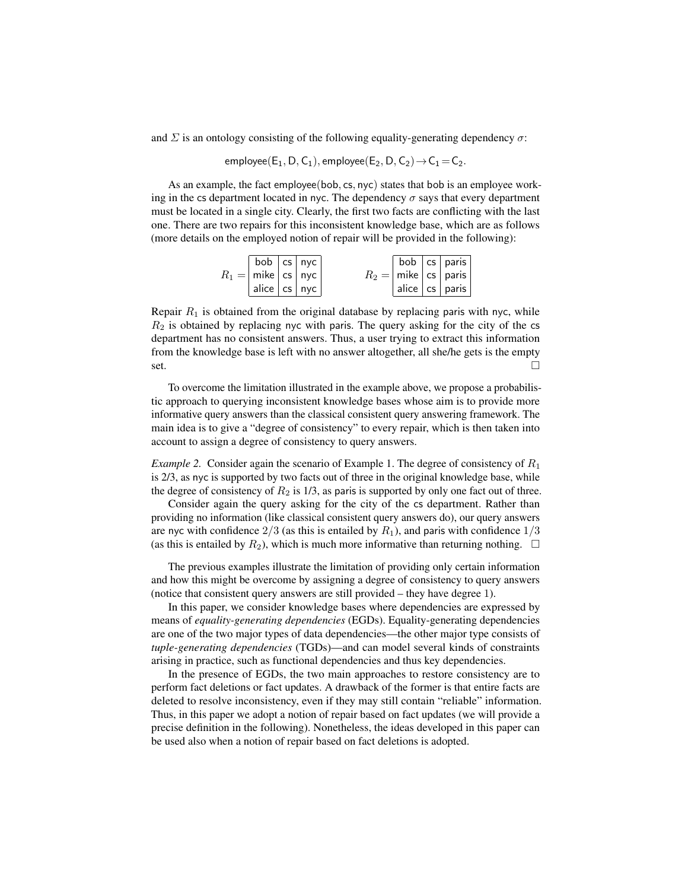and  $\Sigma$  is an ontology consisting of the following equality-generating dependency  $\sigma$ :

employee( $E_1$ , D,  $C_1$ ), employee( $E_2$ , D,  $C_2$ )  $\rightarrow$   $C_1$  =  $C_2$ .

As an example, the fact employee(bob, cs, nyc) states that bob is an employee working in the cs department located in nyc. The dependency  $\sigma$  says that every department must be located in a single city. Clearly, the first two facts are conflicting with the last one. There are two repairs for this inconsistent knowledge base, which are as follows (more details on the employed notion of repair will be provided in the following):

| bob $ cs $ nyc $ $                |  |  | $ $ bob $ $ cs $ $ paris            |
|-----------------------------------|--|--|-------------------------------------|
| $R_1 =  $ mike $ $ cs $ $ nyc $ $ |  |  | $R_2 =  $ mike $ $ cs $ $ paris $ $ |
| $ $ alice $ $ cs $ $ nyc $ $      |  |  | alice   cs   paris                  |

Repair  $R_1$  is obtained from the original database by replacing paris with nyc, while  $R_2$  is obtained by replacing nyc with paris. The query asking for the city of the cs department has no consistent answers. Thus, a user trying to extract this information from the knowledge base is left with no answer altogether, all she/he gets is the empty  $\overline{\phantom{a}}$ set.

To overcome the limitation illustrated in the example above, we propose a probabilistic approach to querying inconsistent knowledge bases whose aim is to provide more informative query answers than the classical consistent query answering framework. The main idea is to give a "degree of consistency" to every repair, which is then taken into account to assign a degree of consistency to query answers.

*Example 2.* Consider again the scenario of Example 1. The degree of consistency of  $R_1$ is 2/3, as nyc is supported by two facts out of three in the original knowledge base, while the degree of consistency of  $R_2$  is 1/3, as paris is supported by only one fact out of three.

Consider again the query asking for the city of the cs department. Rather than providing no information (like classical consistent query answers do), our query answers are nyc with confidence  $2/3$  (as this is entailed by  $R_1$ ), and paris with confidence  $1/3$ (as this is entailed by  $R_2$ ), which is much more informative than returning nothing.  $\Box$ 

The previous examples illustrate the limitation of providing only certain information and how this might be overcome by assigning a degree of consistency to query answers (notice that consistent query answers are still provided – they have degree 1).

In this paper, we consider knowledge bases where dependencies are expressed by means of *equality-generating dependencies* (EGDs). Equality-generating dependencies are one of the two major types of data dependencies—the other major type consists of *tuple-generating dependencies* (TGDs)—and can model several kinds of constraints arising in practice, such as functional dependencies and thus key dependencies.

In the presence of EGDs, the two main approaches to restore consistency are to perform fact deletions or fact updates. A drawback of the former is that entire facts are deleted to resolve inconsistency, even if they may still contain "reliable" information. Thus, in this paper we adopt a notion of repair based on fact updates (we will provide a precise definition in the following). Nonetheless, the ideas developed in this paper can be used also when a notion of repair based on fact deletions is adopted.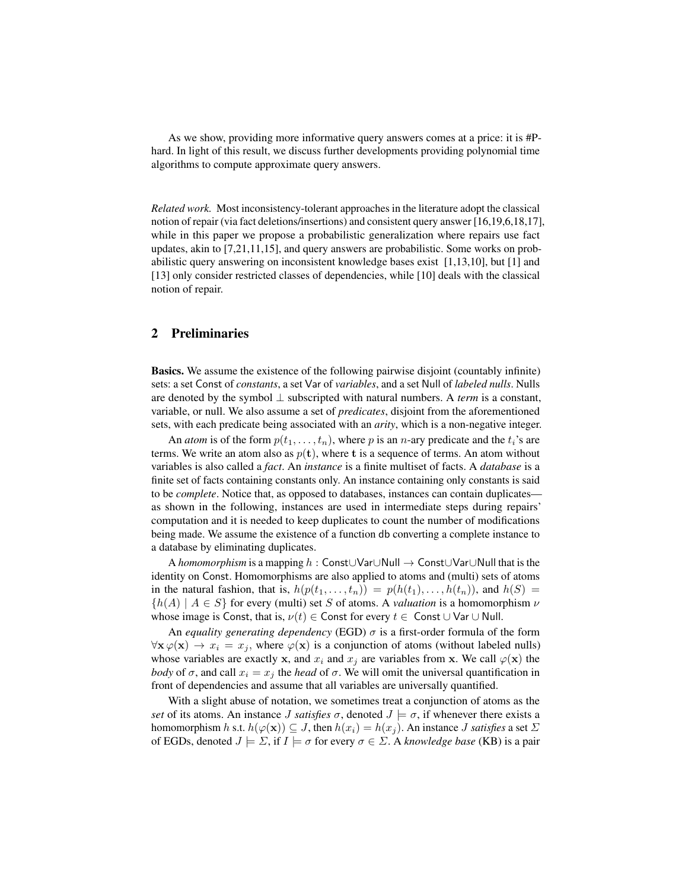As we show, providing more informative query answers comes at a price: it is #Phard. In light of this result, we discuss further developments providing polynomial time algorithms to compute approximate query answers.

*Related work.* Most inconsistency-tolerant approaches in the literature adopt the classical notion of repair (via fact deletions/insertions) and consistent query answer [16,19,6,18,17], while in this paper we propose a probabilistic generalization where repairs use fact updates, akin to [7,21,11,15], and query answers are probabilistic. Some works on probabilistic query answering on inconsistent knowledge bases exist [1,13,10], but [1] and [13] only consider restricted classes of dependencies, while [10] deals with the classical notion of repair.

# 2 Preliminaries

Basics. We assume the existence of the following pairwise disjoint (countably infinite) sets: a set Const of *constants*, a set Var of *variables*, and a set Null of *labeled nulls*. Nulls are denoted by the symbol ⊥ subscripted with natural numbers. A *term* is a constant, variable, or null. We also assume a set of *predicates*, disjoint from the aforementioned sets, with each predicate being associated with an *arity*, which is a non-negative integer.

An *atom* is of the form  $p(t_1, \ldots, t_n)$ , where p is an *n*-ary predicate and the  $t_i$ 's are terms. We write an atom also as  $p(t)$ , where t is a sequence of terms. An atom without variables is also called a *fact*. An *instance* is a finite multiset of facts. A *database* is a finite set of facts containing constants only. An instance containing only constants is said to be *complete*. Notice that, as opposed to databases, instances can contain duplicates as shown in the following, instances are used in intermediate steps during repairs' computation and it is needed to keep duplicates to count the number of modifications being made. We assume the existence of a function db converting a complete instance to a database by eliminating duplicates.

A *homomorphism* is a mapping h : Const∪Var∪Null → Const∪Var∪Null that is the identity on Const. Homomorphisms are also applied to atoms and (multi) sets of atoms in the natural fashion, that is,  $h(p(t_1, \ldots, t_n)) = p(h(t_1), \ldots, h(t_n))$ , and  $h(S) =$  ${h(A) | A \in S}$  for every (multi) set S of atoms. A *valuation* is a homomorphism  $\nu$ whose image is Const, that is,  $\nu(t) \in$  Const for every  $t \in$  Const  $\cup$  Var  $\cup$  Null.

An *equality generating dependency* (EGD)  $\sigma$  is a first-order formula of the form  $\forall$ **x**  $\varphi$ (**x**)  $\rightarrow$   $x_i = x_j$ , where  $\varphi$ (**x**) is a conjunction of atoms (without labeled nulls) whose variables are exactly x, and  $x_i$  and  $x_j$  are variables from x. We call  $\varphi(\mathbf{x})$  the *body* of  $\sigma$ , and call  $x_i = x_j$  the *head* of  $\sigma$ . We will omit the universal quantification in front of dependencies and assume that all variables are universally quantified.

With a slight abuse of notation, we sometimes treat a conjunction of atoms as the *set* of its atoms. An instance J *satisfies*  $\sigma$ , denoted  $J \models \sigma$ , if whenever there exists a homomorphism h s.t.  $h(\varphi(\mathbf{x})) \subseteq J$ , then  $h(x_i) = h(x_j)$ . An instance J *satisfies* a set  $\Sigma$ of EGDs, denoted  $J \models \Sigma$ , if  $I \models \sigma$  for every  $\sigma \in \Sigma$ . A *knowledge base* (KB) is a pair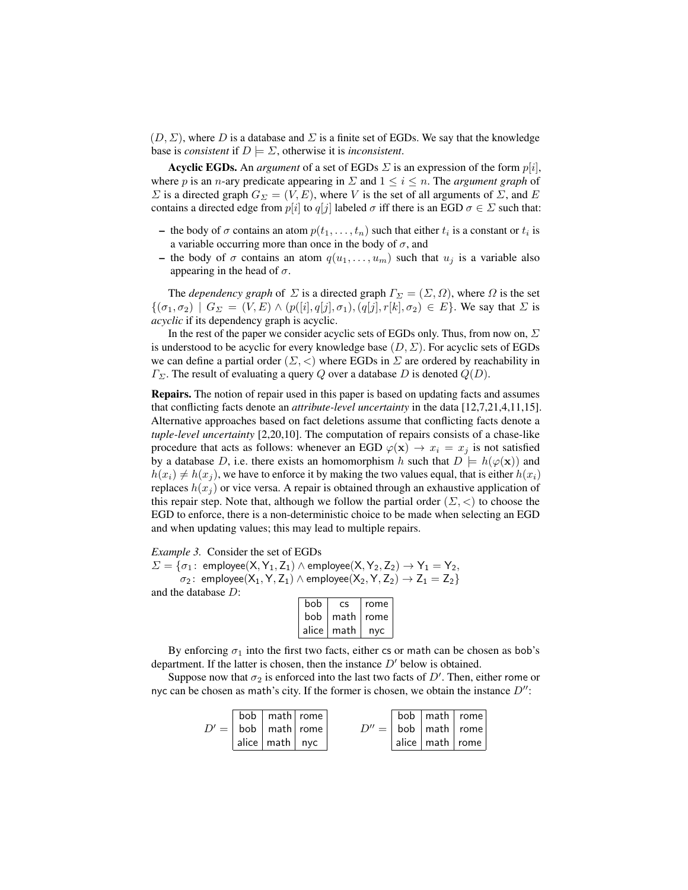$(D, \Sigma)$ , where D is a database and  $\Sigma$  is a finite set of EGDs. We say that the knowledge base is *consistent* if  $D \models \Sigma$ , otherwise it is *inconsistent*.

**Acyclic EGDs.** An *argument* of a set of EGDs  $\Sigma$  is an expression of the form  $p[i]$ , where p is an n-ary predicate appearing in  $\Sigma$  and  $1 \le i \le n$ . The *argument graph* of  $\Sigma$  is a directed graph  $G_{\Sigma} = (V, E)$ , where V is the set of all arguments of  $\Sigma$ , and E contains a directed edge from  $p[i]$  to  $q[j]$  labeled  $\sigma$  iff there is an EGD  $\sigma \in \Sigma$  such that:

- the body of  $\sigma$  contains an atom  $p(t_1, \ldots, t_n)$  such that either  $t_i$  is a constant or  $t_i$  is a variable occurring more than once in the body of  $\sigma$ , and
- the body of  $\sigma$  contains an atom  $q(u_1, \ldots, u_m)$  such that  $u_j$  is a variable also appearing in the head of  $\sigma$ .

The *dependency graph* of  $\Sigma$  is a directed graph  $\Gamma_{\Sigma} = (\Sigma, \Omega)$ , where  $\Omega$  is the set  $\{(\sigma_1,\sigma_2) \mid G_\Sigma = (V,E) \wedge (p([i], q[j], \sigma_1), (q[j], r[k], \sigma_2) \in E\}.$  We say that  $\Sigma$  is *acyclic* if its dependency graph is acyclic.

In the rest of the paper we consider acyclic sets of EGDs only. Thus, from now on,  $\Sigma$ is understood to be acyclic for every knowledge base  $(D, \Sigma)$ . For acyclic sets of EGDs we can define a partial order  $(\Sigma, <)$  where EGDs in  $\Sigma$  are ordered by reachability in  $\Gamma_{\Sigma}$ . The result of evaluating a query Q over a database D is denoted  $Q(D)$ .

Repairs. The notion of repair used in this paper is based on updating facts and assumes that conflicting facts denote an *attribute-level uncertainty* in the data [12,7,21,4,11,15]. Alternative approaches based on fact deletions assume that conflicting facts denote a *tuple-level uncertainty* [2,20,10]. The computation of repairs consists of a chase-like procedure that acts as follows: whenever an EGD  $\varphi(\mathbf{x}) \to x_i = x_j$  is not satisfied by a database D, i.e. there exists an homomorphism h such that  $D \models h(\varphi(\mathbf{x}))$  and  $h(x_i) \neq h(x_j)$ , we have to enforce it by making the two values equal, that is either  $h(x_i)$ replaces  $h(x_i)$  or vice versa. A repair is obtained through an exhaustive application of this repair step. Note that, although we follow the partial order  $(\Sigma, <)$  to choose the EGD to enforce, there is a non-deterministic choice to be made when selecting an EGD and when updating values; this may lead to multiple repairs.

*Example 3.* Consider the set of EGDs

 $\Sigma = {\sigma_1 : \text{ employee}(X, Y_1, Z_1) \land \text{employee}(X, Y_2, Z_2) \rightarrow Y_1 = Y_2,$  $\sigma_2$ : employee(X<sub>1</sub>, Y, Z<sub>1</sub>) ∧ employee(X<sub>2</sub>, Y, Z<sub>2</sub>)  $\rightarrow$  Z<sub>1</sub> = Z<sub>2</sub>}

and the database D:

| bob   | CS   | rome |
|-------|------|------|
| bob   | math | rome |
| alice | math | nyc  |

By enforcing  $\sigma_1$  into the first two facts, either cs or math can be chosen as bob's department. If the latter is chosen, then the instance  $D'$  below is obtained.

Suppose now that  $\sigma_2$  is enforced into the last two facts of  $D'$ . Then, either rome or nyc can be chosen as math's city. If the former is chosen, we obtain the instance  $D''$ :

|  | $\sqrt{$ bob $\sqrt{ }$ math $\sqrt{ }$ rome |  |  | bob   math   rome               |
|--|----------------------------------------------|--|--|---------------------------------|
|  | $D' =  $ bob $ $ math rome $ $               |  |  | $D'' =  $ bob   math   rome     |
|  | $ $ alice $ $ math $ $ nyc                   |  |  | $ $ alice $ $ math $ $ rome $ $ |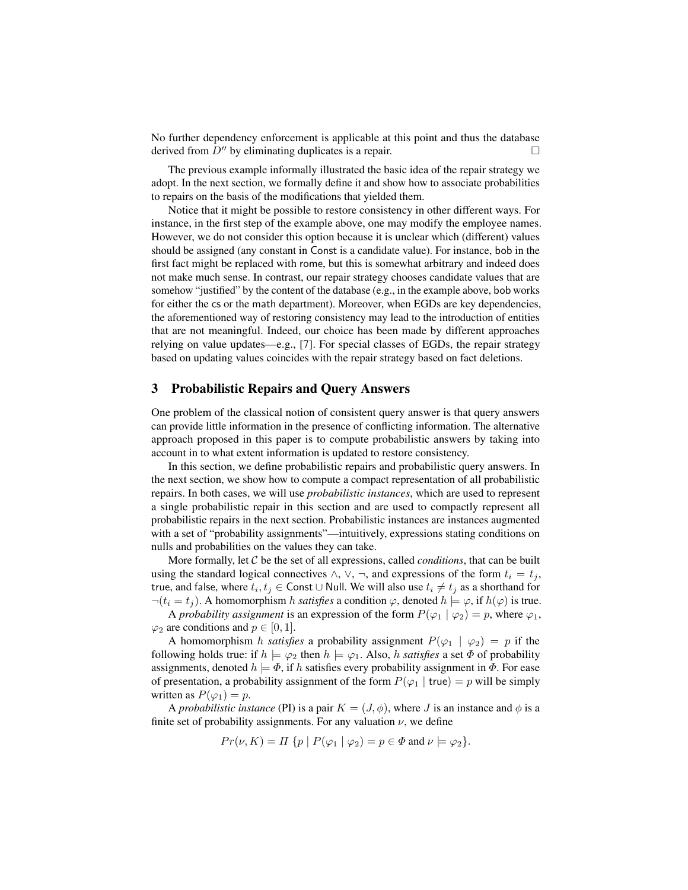No further dependency enforcement is applicable at this point and thus the database derived from  $D''$  by eliminating duplicates is a repair.

The previous example informally illustrated the basic idea of the repair strategy we adopt. In the next section, we formally define it and show how to associate probabilities to repairs on the basis of the modifications that yielded them.

Notice that it might be possible to restore consistency in other different ways. For instance, in the first step of the example above, one may modify the employee names. However, we do not consider this option because it is unclear which (different) values should be assigned (any constant in Const is a candidate value). For instance, bob in the first fact might be replaced with rome, but this is somewhat arbitrary and indeed does not make much sense. In contrast, our repair strategy chooses candidate values that are somehow "justified" by the content of the database (e.g., in the example above, bob works for either the cs or the math department). Moreover, when EGDs are key dependencies, the aforementioned way of restoring consistency may lead to the introduction of entities that are not meaningful. Indeed, our choice has been made by different approaches relying on value updates—e.g., [7]. For special classes of EGDs, the repair strategy based on updating values coincides with the repair strategy based on fact deletions.

### 3 Probabilistic Repairs and Query Answers

One problem of the classical notion of consistent query answer is that query answers can provide little information in the presence of conflicting information. The alternative approach proposed in this paper is to compute probabilistic answers by taking into account in to what extent information is updated to restore consistency.

In this section, we define probabilistic repairs and probabilistic query answers. In the next section, we show how to compute a compact representation of all probabilistic repairs. In both cases, we will use *probabilistic instances*, which are used to represent a single probabilistic repair in this section and are used to compactly represent all probabilistic repairs in the next section. Probabilistic instances are instances augmented with a set of "probability assignments"—intuitively, expressions stating conditions on nulls and probabilities on the values they can take.

More formally, let C be the set of all expressions, called *conditions*, that can be built using the standard logical connectives  $\wedge$ ,  $\vee$ ,  $\neg$ , and expressions of the form  $t_i = t_j$ , true, and false, where  $t_i, t_j \in \mathsf{Const} \cup \mathsf{Null}.$  We will also use  $t_i \neq t_j$  as a shorthand for  $\neg(t_i = t_j)$ . A homomorphism h *satisfies* a condition  $\varphi$ , denoted  $h \models \varphi$ , if  $h(\varphi)$  is true.

A *probability assignment* is an expression of the form  $P(\varphi_1 | \varphi_2) = p$ , where  $\varphi_1$ ,  $\varphi_2$  are conditions and  $p \in [0, 1]$ .

A homomorphism h *satisfies* a probability assignment  $P(\varphi_1 | \varphi_2) = p$  if the following holds true: if  $h \models \varphi_2$  then  $h \models \varphi_1$ . Also, h *satisfies* a set  $\Phi$  of probability assignments, denoted  $h \models \Phi$ , if h satisfies every probability assignment in  $\Phi$ . For ease of presentation, a probability assignment of the form  $P(\varphi_1 | true) = p$  will be simply written as  $P(\varphi_1) = p$ .

A *probabilistic instance* (PI) is a pair  $K = (J, \phi)$ , where J is an instance and  $\phi$  is a finite set of probability assignments. For any valuation  $\nu$ , we define

$$
Pr(\nu, K) = \Pi \{ p \mid P(\varphi_1 \mid \varphi_2) = p \in \Phi \text{ and } \nu \models \varphi_2 \}.
$$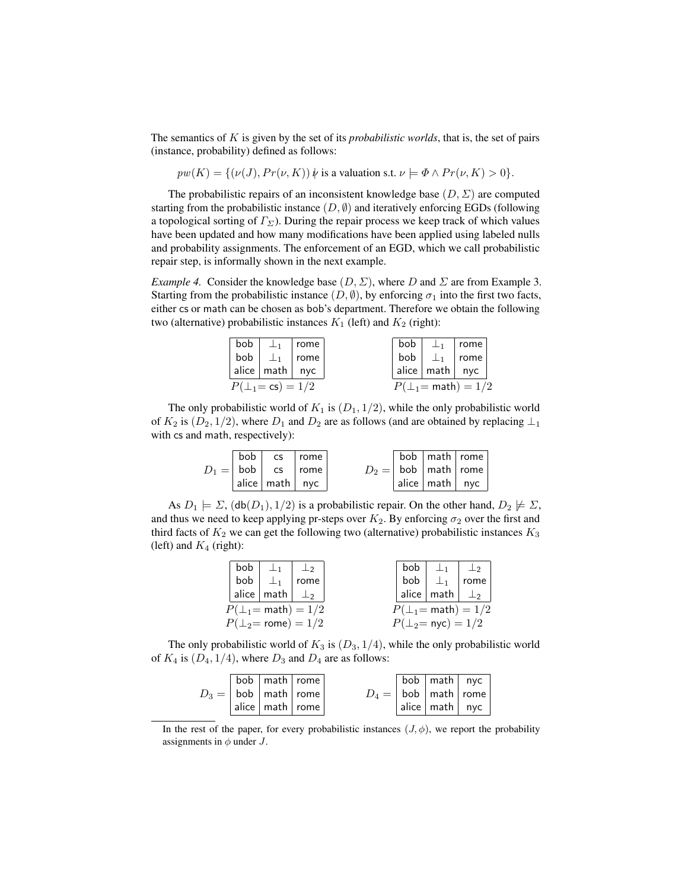The semantics of K is given by the set of its *probabilistic worlds*, that is, the set of pairs (instance, probability) defined as follows:

$$
pw(K) = \{ (\nu(J), Pr(\nu, K)) \mid \text{ is a valuation s.t. } \nu \models \Phi \land Pr(\nu, K) > 0 \}.
$$

The probabilistic repairs of an inconsistent knowledge base  $(D, \Sigma)$  are computed starting from the probabilistic instance  $(D, \emptyset)$  and iteratively enforcing EGDs (following a topological sorting of  $\Gamma_{\Sigma}$ ). During the repair process we keep track of which values have been updated and how many modifications have been applied using labeled nulls and probability assignments. The enforcement of an EGD, which we call probabilistic repair step, is informally shown in the next example.

*Example 4.* Consider the knowledge base  $(D, \Sigma)$ , where D and  $\Sigma$  are from Example 3. Starting from the probabilistic instance  $(D, \emptyset)$ , by enforcing  $\sigma_1$  into the first two facts, either cs or math can be chosen as bob's department. Therefore we obtain the following two (alternative) probabilistic instances  $K_1$  (left) and  $K_2$  (right):

|  | $P(\perp_1 = \text{cs}) = 1/2$         |  | $P(\perp_1 = \text{math}) = 1/2$ |  |
|--|----------------------------------------|--|----------------------------------|--|
|  | alice $\vert$ math $\vert$ nyc         |  | $ $ alice $ $ math $ $ nyc       |  |
|  | bob $\vert \perp_1 \vert$ rome         |  | bob $\perp_1$ rome               |  |
|  | bob $\vert \perp_1 \vert$ rome $\vert$ |  | bob $\perp_1$   rome             |  |

The only probabilistic world of  $K_1$  is  $(D_1, 1/2)$ , while the only probabilistic world of  $K_2$  is  $(D_2, 1/2)$ , where  $D_1$  and  $D_2$  are as follows (and are obtained by replacing  $\perp_1$ with cs and math, respectively):

|  | $ $ bob $ $ cs $ $ rome       |  | bob   math   rome               |  |
|--|-------------------------------|--|---------------------------------|--|
|  | $D_1 =  $ bob $ $ cs $ $ rome |  | $D_2 =  $ bob $ $ math $ $ rome |  |
|  | $ $ alice $ $ math $ $ nyc    |  | $ $ alice $ $ math $ $ nyc      |  |

As  $D_1 \models \Sigma$ ,  $(\text{db}(D_1), 1/2)$  is a probabilistic repair. On the other hand,  $D_2 \not\models \Sigma$ , and thus we need to keep applying pr-steps over  $K_2$ . By enforcing  $\sigma_2$  over the first and third facts of  $K_2$  we can get the following two (alternative) probabilistic instances  $K_3$ (left) and  $K_4$  (right):

| bob | . La                              | $\perp$ | $bob \mid$ |                                          | $\perp_1$ $\perp_2$              |
|-----|-----------------------------------|---------|------------|------------------------------------------|----------------------------------|
|     | bob $\perp_1$ rome                |         | bob        |                                          | $\perp_1$   rome                 |
|     | alice   math $\perp$ <sub>2</sub> |         |            | alice $\vert$ math $\vert \perp_2 \vert$ |                                  |
|     | $P(\perp_1 = \text{math}) = 1/2$  |         |            |                                          | $P(\perp_1 = \text{math}) = 1/2$ |
|     | $P(\perp_2 = \text{rome}) = 1/2$  |         |            | $P(\perp_2 = \text{nyc}) = 1/2$          |                                  |

The only probabilistic world of  $K_3$  is  $(D_3, 1/4)$ , while the only probabilistic world of  $K_4$  is  $(D_4, 1/4)$ , where  $D_3$  and  $D_4$  are as follows:

|                                     | bob   math   rome     |                                 | $\vert$ bob $\vert$ math $\vert$ nyc |  |
|-------------------------------------|-----------------------|---------------------------------|--------------------------------------|--|
| $D_3 =  $ bob $ $ math $ $ rome $ $ |                       | $D_4 =  $ bob $ $ math $ $ rome |                                      |  |
|                                     | alice   math   rome ' |                                 | $ $ alice $ $ math $ $ nyc           |  |

In the rest of the paper, for every probabilistic instances  $(J, \phi)$ , we report the probability assignments in  $\phi$  under J.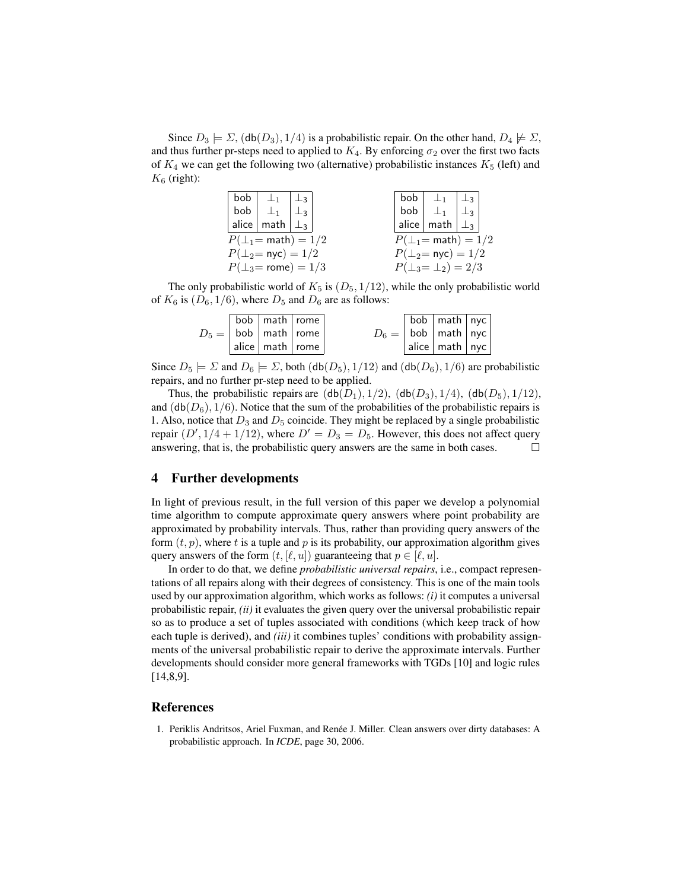Since  $D_3 \models \Sigma$ ,  $(\text{db}(D_3), 1/4)$  is a probabilistic repair. On the other hand,  $D_4 \not\models \Sigma$ , and thus further pr-steps need to applied to  $K_4$ . By enforcing  $\sigma_2$  over the first two facts of  $K_4$  we can get the following two (alternative) probabilistic instances  $K_5$  (left) and  $K_6$  (right):

|     | bob $\perp$ <sub>1</sub>           | $+23$     |  |  |     | bob $ \perp_1$                   | $\perp$ 3   |  |
|-----|------------------------------------|-----------|--|--|-----|----------------------------------|-------------|--|
| bob | $\perp$ <sub>1</sub>               | $\perp$ 3 |  |  | bob | $\perp_1$                        | . $\perp_3$ |  |
|     | alice   math $\vert \perp_3 \vert$ |           |  |  |     | $ $ alice $ $ math $  \perp_3  $ |             |  |
|     | $P(\perp_1 = \text{math}) = 1/2$   |           |  |  |     | $P(\perp_1 = \text{math}) = 1/2$ |             |  |
|     | $P(\perp_2 = \text{nyc}) = 1/2$    |           |  |  |     | $P(\perp_2 = \text{nyc}) = 1/2$  |             |  |
|     | $P(\perp_3 = \text{rome}) = 1/3$   |           |  |  |     | $P(\perp_3 = \perp_2) = 2/3$     |             |  |

The only probabilistic world of  $K_5$  is  $(D_5, 1/12)$ , while the only probabilistic world of  $K_6$  is  $(D_6, 1/6)$ , where  $D_5$  and  $D_6$  are as follows:

|  | bob   math   rome               |  | $\sqrt{2}$ bob $\sqrt{2}$ math $\sqrt{2}$ |  |
|--|---------------------------------|--|-------------------------------------------|--|
|  | $D_5 =  $ bob   math   rome     |  | $D_6 =  $ bob   math   nyc                |  |
|  | $ $ alice $ $ math $ $ rome $ $ |  | $ $ alice $ $ math $ $ nyc $ $            |  |

Since  $D_5 \models \Sigma$  and  $D_6 \models \Sigma$ , both  $(\text{db}(D_5), 1/12)$  and  $(\text{db}(D_6), 1/6)$  are probabilistic repairs, and no further pr-step need to be applied.

Thus, the probabilistic repairs are  $(db(D_1), 1/2)$ ,  $(db(D_3), 1/4)$ ,  $(db(D_5), 1/12)$ , and  $(db(D_6), 1/6)$ . Notice that the sum of the probabilities of the probabilistic repairs is 1. Also, notice that  $D_3$  and  $D_5$  coincide. They might be replaced by a single probabilistic repair  $(D', 1/4 + 1/12)$ , where  $D' = D_3 = D_5$ . However, this does not affect query answering, that is, the probabilistic query answers are the same in both cases.  $\Box$ 

## 4 Further developments

In light of previous result, in the full version of this paper we develop a polynomial time algorithm to compute approximate query answers where point probability are approximated by probability intervals. Thus, rather than providing query answers of the form  $(t, p)$ , where t is a tuple and p is its probability, our approximation algorithm gives query answers of the form  $(t, [\ell, u])$  guaranteeing that  $p \in [\ell, u]$ .

In order to do that, we define *probabilistic universal repairs*, i.e., compact representations of all repairs along with their degrees of consistency. This is one of the main tools used by our approximation algorithm, which works as follows: *(i)* it computes a universal probabilistic repair, *(ii)* it evaluates the given query over the universal probabilistic repair so as to produce a set of tuples associated with conditions (which keep track of how each tuple is derived), and *(iii)* it combines tuples' conditions with probability assignments of the universal probabilistic repair to derive the approximate intervals. Further developments should consider more general frameworks with TGDs [10] and logic rules [14,8,9].

#### References

1. Periklis Andritsos, Ariel Fuxman, and Renée J. Miller. Clean answers over dirty databases: A probabilistic approach. In *ICDE*, page 30, 2006.